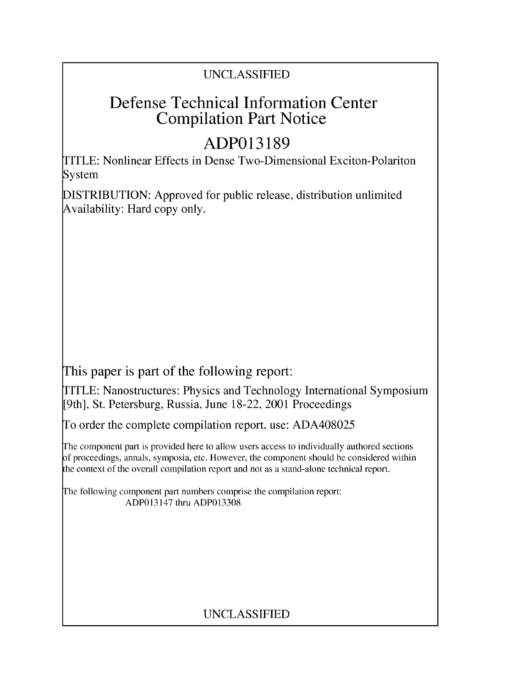### UNCLASSIFIED

## Defense Technical Information Center Compilation Part Notice

# **ADP013189**

TITLE: Nonlinear Effects in Dense Two-Dimensional Exciton-Polariton System

DISTRIBUTION: Approved for public release, distribution unlimited Availability: Hard copy only.

This paper is part of the following report:

TITLE: Nanostructures: Physics and Technology International Symposium [9th], St. Petersburg, Russia, June 18-22, 2001 Proceedings

To order the complete compilation report, use: ADA408025

The component part is provided here to allow users access to individually authored sections f proceedings, annals, symposia, etc. However, the component should be considered within the context of the overall compilation report and not as a stand-alone technical report.

The following component part numbers comprise the compilation report: ADP013147 thru ADP013308

## UNCLASSIFIED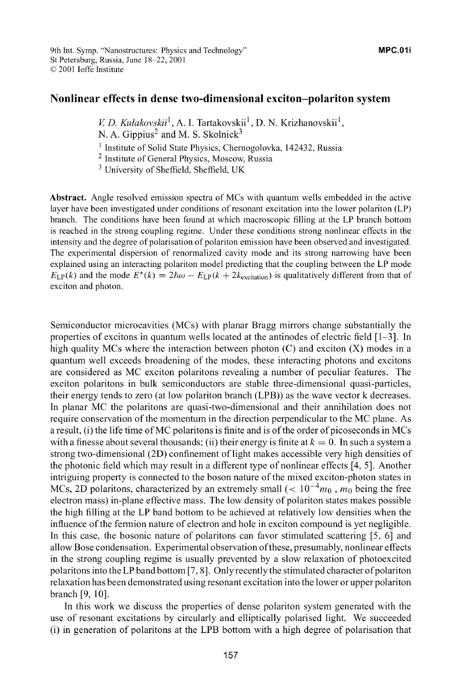### Nonlinear effects in dense two-dimensional exciton-polariton system

*V. D. Kulakovskii*<sup>1</sup>, A. I. Tartakovskii<sup>1</sup>, D. N. Krizhanovskii<sup>1</sup>,

<sup>1</sup> Institute of Solid State Physics, Chernogolovka, 142432, Russia

2 Institute of General Physics, Moscow, Russia

**3** University of Sheffield, Sheffield, UK

Abstract. Angle resolved emission spectra of MCs with quantum wells embedded in the active layer have been investigated under conditions of resonant excitation into the lower polariton (LP) branch. The conditions have been found at which macroscopic filling at the LP branch bottom is reached in the strong coupling regime. Under these conditions strong nonlinear effects in the intensity and the degree of polarisation of polariton emission have been observed and investigated. The experimental dispersion of renormalized cavity mode and its strong narrowing have been explained using an interacting polariton model predicting that the coupling between the LP mode  $E_{\text{LP}}(k)$  and the mode  $E^*(k) = 2\hbar\omega - E_{\text{LP}}(k + 2k_{\text{excitation}})$  is qualitatively different from that of exciton and photon.

Semiconductor microcavities (MCs) with planar Bragg mirrors change substantially the properties of excitons in quantum wells located at the antinodes of electric field [1-3]. In high quality MCs where the interaction between photon  $(C)$  and exciton  $(X)$  modes in a quantum well exceeds broadening of the modes, these interacting photons and excitons are considered as MC exciton polaritons revealing a number of peculiar features. The exciton polaritons in bulk semiconductors are stable three-dimensional quasi-particles, their energy tends to zero (at low polariton branch (LPB)) as the wave vector k decreases. In planar MC the polaritons are quasi-two-dimensional and their annihilation does not require conservation of the momentum in the direction perpendicular to the MC plane. As a result, (i) the life time of MC polaritons is finite and is of the order ofpicoseconds in MCs with a finesse about several thousands; (ii) their energy is finite at  $k = 0$ . In such a system a strong two-dimensional (2D) confinement of light makes accessible very high densities of the photonic field which may result in a different type of nonlinear effects [4, **5].** Another intriguing property is connected to the boson nature of the mixed exciton-photon states in MCs, 2D polaritons, characterized by an extremely small ( $< 10^{-4} m_0$ ,  $m_0$  being the free electron mass) in-plane effective mass. The low density of polariton states makes possible the high filling at the LP band bottom to be achieved at relatively low densities when the influence of the fermion nature of electron and hole in exciton compound is yet negligible. In this case, the bosonic nature of polaritons can favor stimulated scattering [5, **6]** and allow Bose condensation. Experimental observation ofthese, presumably, nonlinear effects in the strong coupling regime is usually prevented by a slow relaxation of photoexcited polaritons into the LP band bottom [7, **8].** Only recently the stimulated character ofpolariton relaxation has been demonstrated using resonant excitation into the lower or upper polariton branch [9, **10].**

In this work we discuss the properties of dense polariton system generated with the use of resonant excitations by circularly and elliptically polarised light. We succeeded (i) in generation of polaritons at the LPB bottom with a high degree of polarisation that

N. A. Gippius<sup>2</sup> and M. S. Skolnick<sup>3</sup>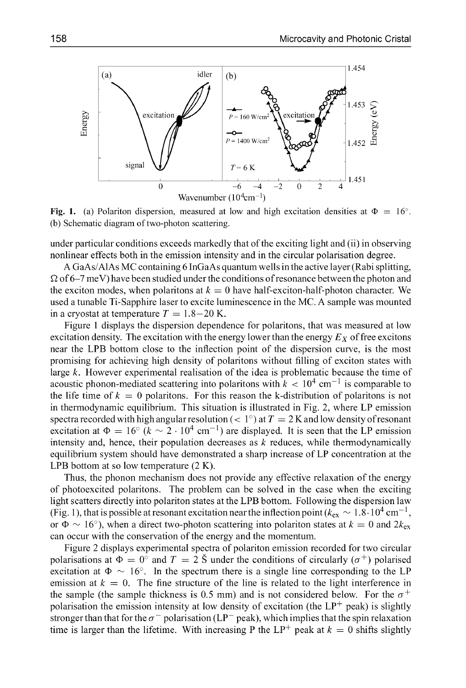

Fig. 1. (a) Polariton dispersion, measured at low and high excitation densities at  $\Phi = 16^\circ$ . (b) Schematic diagram of two-photon scattering.

under particular conditions exceeds markedly that of the exciting light and (ii) in observing nonlinear effects both in the emission intensity and in the circular polarisation degree.

A GaAs/AlAs MC containing 6 InGaAs quantum wells in the active layer (Rabi splitting, **Q** of 6-7 meV) have been studied under the conditions of resonance between the photon and the exciton modes, when polaritons at  $k = 0$  have half-exciton-half-photon character. We used a tunable Ti-Sapphire laser to excite luminescence in the MC. A sample was mounted in a cryostat at temperature  $T = 1.8-20$  K.

Figure 1 displays the dispersion dependence for polaritons, that was measured at low excitation density. The excitation with the energy lower than the energy  $E<sub>X</sub>$  of free excitons near the LPB bottom close to the inflection point of the dispersion curve, is the most promising for achieving high density of polaritons without filling of exciton states with large  $k$ . However experimental realisation of the idea is problematic because the time of acoustic phonon-mediated scattering into polaritons with  $k < 10^4$  cm<sup>-1</sup> is comparable to the life time of  $k = 0$  polaritons. For this reason the k-distribution of polaritons is not in thermodynamic equilibrium. This situation is illustrated in Fig. 2, where LP emission spectra recorded with high angular resolution ( $\lt 1^\circ$ ) at  $T = 2$  K and low density of resonant excitation at  $\Phi = 16^{\circ}$   $(k \sim 2 \cdot 10^4 \text{ cm}^{-1})$  are displayed. It is seen that the LP emission intensity and, hence, their population decreases as  $k$  reduces, while thermodynamically equilibrium system should have demonstrated a sharp increase of LP concentration at the LPB bottom at so low temperature (2 K).

Thus, the phonon mechanism does not provide any effective relaxation of the energy of photoexcited polaritons. The problem can be solved in the case when the exciting light scatters directly into polariton states at the LPB bottom. Following the dispersion law (Fig. 1), that is possible at resonant excitation near the inflection point ( $k_{\text{ex}} \sim 1.8 \cdot 10^4 \text{ cm}^{-1}$ , or  $\Phi \sim 16^{\circ}$ ), when a direct two-photon scattering into polariton states at  $k = 0$  and  $2k_{\rm ex}$ can occur with the conservation of the energy and the momentum.

Figure 2 displays experimental spectra of polariton emission recorded for two circular polarisations at  $\Phi = 0^\circ$  and  $T = 2 \text{ }\mathcal{S}$  under the conditions of circularly ( $\sigma^+$ ) polarised excitation at  $\Phi \sim 16^{\circ}$ . In the spectrum there is a single line corresponding to the LP emission at  $k = 0$ . The fine structure of the line is related to the light interference in the sample (the sample thickness is 0.5 mm) and is not considered below. For the  $\sigma^+$ polarisation the emission intensity at low density of excitation (the  $LP^+$  peak) is slightly stronger than that for the  $\sigma^-$  polarisation (LP<sup>-</sup> peak), which implies that the spin relaxation time is larger than the lifetime. With increasing P the  $LP^+$  peak at  $k = 0$  shifts slightly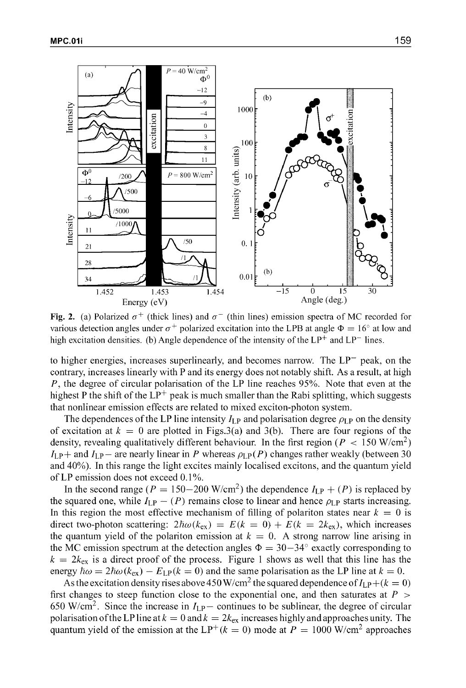

**Fig. 2.** (a) Polarized  $\sigma^+$  (thick lines) and  $\sigma^-$  (thin lines) emission spectra of MC recorded for various detection angles under  $\sigma^+$  polarized excitation into the LPB at angle  $\Phi = 16^{\circ}$  at low and high excitation densities. (b) Angle dependence of the intensity of the LP<sup>+</sup> and LP<sup>-</sup> lines.

to higher energies, increases superlinearly, and becomes narrow. The  $LP$  peak, on the contrary, increases linearly with P and its energy does not notably shift. As a result, at high  $P$ , the degree of circular polarisation of the LP line reaches 95%. Note that even at the highest P the shift of the  $LP^+$  peak is much smaller than the Rabi splitting, which suggests that nonlinear emission effects are related to mixed exciton-photon system.

The dependences of the LP line intensity  $I_{LP}$  and polarisation degree  $\rho_{LP}$  on the density of excitation at  $k = 0$  are plotted in Figs. 3(a) and 3(b). There are four regions of the density, revealing qualitatively different behaviour. In the first region ( $P < 150$  W/cm<sup>2</sup>)  $I_{\text{LP}}$  and  $I_{\text{LP}}$  are nearly linear in P whereas  $\rho_{\text{LP}}(P)$  changes rather weakly (between 30 and 40%). In this range the light excites mainly localised excitons, and the quantum yield of LP emission does not exceed  $0.1\%$ .

In the second range ( $P = 150-200$  W/cm<sup>2</sup>) the dependence  $I_{\text{LP}} + (P)$  is replaced by the squared one, while  $I_{LP} - (P)$  remains close to linear and hence  $\rho_{LP}$  starts increasing. In this region the most effective mechanism of filling of polariton states near  $k = 0$  is direct two-photon scattering:  $2\hbar \omega (k_{\rm ex}) = E(k = 0) + E(k = 2k_{\rm ex})$ , which increases the quantum yield of the polariton emission at  $k = 0$ . A strong narrow line arising in the MC emission spectrum at the detection angles  $\Phi = 30-34^{\circ}$  exactly corresponding to  $k = 2k_{ex}$  is a direct proof of the process. Figure 1 shows as well that this line has the energy  $\hbar \omega = 2\hbar \omega (k_{\rm ex}) - E_{\rm LP}(k = 0)$  and the same polarisation as the LP line at  $k = 0$ .

As the excitation density rises above 450 W/cm<sup>2</sup> the squared dependence of  $I_{\text{LP}} + (k = 0)$ first changes to steep function close to the exponential one, and then saturates at  $P >$ 650 W/cm<sup>2</sup>. Since the increase in  $I_{\text{LP}}$  – continues to be sublinear, the degree of circular polarisation of the LP line at  $k = 0$  and  $k = 2k_{ex}$  increases highly and approaches unity. The quantum yield of the emission at the LP<sup>+</sup>( $k = 0$ ) mode at  $P = 1000$  W/cm<sup>2</sup> approaches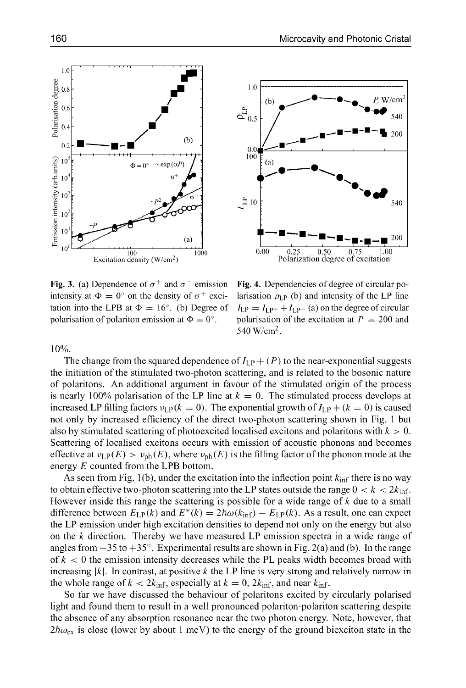intensity at  $\Phi = 0^\circ$  on the density of  $\sigma^+$  exci- larisation  $\rho_{LP}$  (b) and intensity of the LP line tation into the LPB at  $\Phi = 16^{\circ}$ . (b) Degree of  $I_{LP} = I_{LP^+} + I_{LP^-}$  (a) on the degree of circular polarisation of polariton emission at  $\Phi = 0^\circ$ . polarisation of the excitation at  $P = 200$  and

Fig. 3. (a) Dependence of  $\sigma^+$  and  $\sigma^-$  emission Fig. 4. Dependencies of degree of circular po-540 W/cm<sup>2</sup>.

**10%.**

The change from the squared dependence of  $I_{LP} + (P)$  to the near-exponential suggests the initiation of the stimulated two-photon scattering, and is related to the bosonic nature of polaritons. An additional argument in favour of the stimulated origin of the process is nearly 100% polarisation of the LP line at  $k = 0$ . The stimulated process develops at increased LP filling factors  $v_{LP}(k = 0)$ . The exponential growth of  $I_{LP} + (k = 0)$  is caused not only by increased efficiency of the direct two-photon scattering shown in Fig. 1 but also by stimulated scattering of photoexcited localised excitons and polaritons with  $k > 0$ . Scattering of localised excitons occurs with emission of acoustic phonons and becomes effective at  $v_{LP}(E) > v_{ph}(E)$ , where  $v_{ph}(E)$  is the filling factor of the phonon mode at the energy E counted from the LPB bottom.

As seen from Fig. 1(b), under the excitation into the inflection point  $k_{\text{inf}}$  there is no way to obtain effective two-photon scattering into the LP states outside the range  $0 < k < 2k_{\text{inf}}$ . However inside this range the scattering is possible for a wide range of *k* due to a small difference between  $E_{\text{LP}}(k)$  and  $E^*(k) = 2\hbar\omega(k_{\text{inf}}) - E_{\text{LP}}(k)$ . As a result, one can expect the LP emission under high excitation densities to depend not only on the energy but also on the  $k$  direction. Thereby we have measured LP emission spectra in a wide range of angles from  $-35$  to  $+35^{\circ}$ . Experimental results are shown in Fig. 2(a) and (b). In the range of  $k < 0$  the emission intensity decreases while the PL peaks width becomes broad with increasing  $|k|$ . In contrast, at positive k the LP line is very strong and relatively narrow in the whole range of  $k < 2k_{\text{inf}}$ , especially at  $k = 0$ ,  $2k_{\text{inf}}$ , and near  $k_{\text{inf}}$ .

So far we have discussed the behaviour of polaritons excited by circularly polarised light and found them to result in a well pronounced polariton-polariton scattering despite the absence of any absorption resonance near the two photon energy. Note, however, that  $2\hbar\omega_{\rm ex}$  is close (lower by about 1 meV) to the energy of the ground biexciton state in the



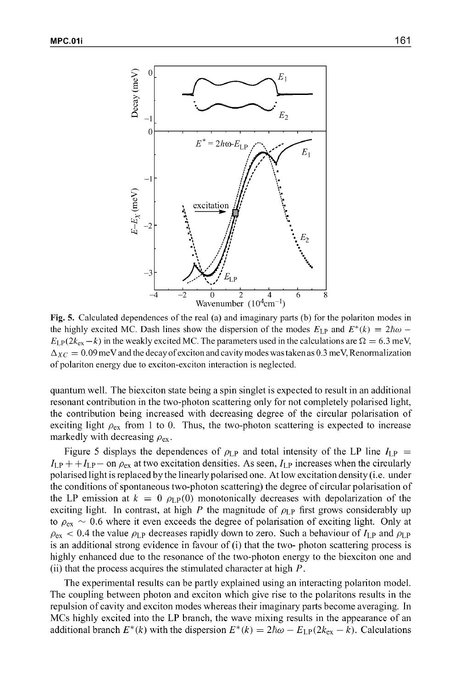

Fig. 5. Calculated dependences of the real (a) and imaginary parts (b) for the polariton modes in the highly excited MC. Dash lines show the dispersion of the modes  $E_{LP}$  and  $E^*(k) = 2\hbar\omega$ .  $E_{\text{LP}}(2k_{\text{ex}}-k)$  in the weakly excited MC. The parameters used in the calculations are  $\Omega = 6.3$  meV,  $\Delta_{XC} = 0.09$  meV and the decay of exciton and cavity modes was taken as 0.3 meV, Renormalization of polariton energy due to exciton-exciton interaction is neglected.

quantum well. The biexciton state being a spin singlet is expected to result in an additional resonant contribution in the two-photon scattering only for not completely polarised light, the contribution being increased with decreasing degree of the circular polarisation of exciting light  $\rho_{ex}$  from 1 to 0. Thus, the two-photon scattering is expected to increase markedly with decreasing  $\rho_{ex}$ .

Figure 5 displays the dependences of  $\rho_{LP}$  and total intensity of the LP line  $I_{LP}$  =  $I_{\text{LP}} + +I_{\text{LP}}$  on  $\rho_{\text{ex}}$  at two excitation densities. As seen,  $I_{\text{LP}}$  increases when the circularly polarised light is replaced by the linearly polarised one. At low excitation density (i.e. under the conditions of spontaneous two-photon scattering) the degree of circular polarisation of the LP emission at  $k = 0$   $\rho_{LP}(0)$  monotonically decreases with depolarization of the exciting light. In contrast, at high P the magnitude of  $\rho_{LP}$  first grows considerably up to  $\rho_{\rm ex} \sim 0.6$  where it even exceeds the degree of polarisation of exciting light. Only at  $\rho_{\rm ex}$  < 0.4 the value  $\rho_{\rm LP}$  decreases rapidly down to zero. Such a behaviour of  $I_{\rm LP}$  and  $\rho_{\rm LP}$ is an additional strong evidence in favour of (i) that the two- photon scattering process is highly enhanced due to the resonance of the two-photon energy to the biexciton one and (ii) that the process acquires the stimulated character at high P.

The experimental results can be partly explained using an interacting polariton model. The coupling between photon and exciton which give rise to the polaritons results in the repulsion of cavity and exciton modes whereas their imaginary parts become averaging. In MCs highly excited into the LP branch, the wave mixing results in the appearance of an additional branch  $E^*(k)$  with the dispersion  $E^*(k) = 2\hbar\omega - E_{LP}(2k_{ex} - k)$ . Calculations